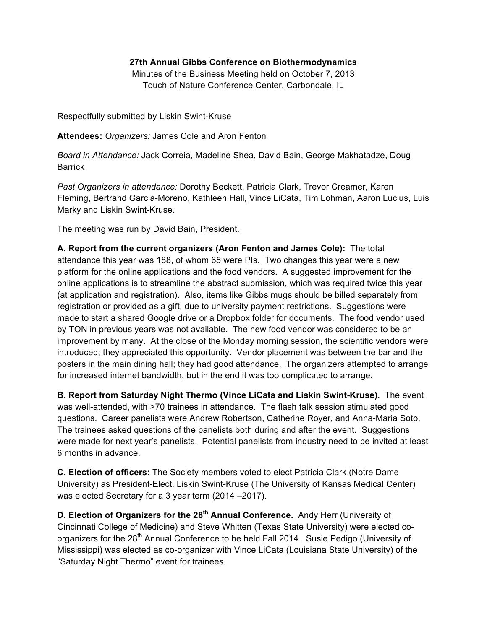## **27th Annual Gibbs Conference on Biothermodynamics**

Minutes of the Business Meeting held on October 7, 2013 Touch of Nature Conference Center, Carbondale, IL

Respectfully submitted by Liskin Swint-Kruse

**Attendees:** *Organizers:* James Cole and Aron Fenton

*Board in Attendance:* Jack Correia, Madeline Shea, David Bain, George Makhatadze, Doug Barrick

*Past Organizers in attendance:* Dorothy Beckett, Patricia Clark, Trevor Creamer, Karen Fleming, Bertrand Garcia-Moreno, Kathleen Hall, Vince LiCata, Tim Lohman, Aaron Lucius, Luis Marky and Liskin Swint-Kruse.

The meeting was run by David Bain, President.

**A. Report from the current organizers (Aron Fenton and James Cole):** The total attendance this year was 188, of whom 65 were PIs. Two changes this year were a new platform for the online applications and the food vendors. A suggested improvement for the online applications is to streamline the abstract submission, which was required twice this year (at application and registration). Also, items like Gibbs mugs should be billed separately from registration or provided as a gift, due to university payment restrictions. Suggestions were made to start a shared Google drive or a Dropbox folder for documents. The food vendor used by TON in previous years was not available. The new food vendor was considered to be an improvement by many. At the close of the Monday morning session, the scientific vendors were introduced; they appreciated this opportunity. Vendor placement was between the bar and the posters in the main dining hall; they had good attendance. The organizers attempted to arrange for increased internet bandwidth, but in the end it was too complicated to arrange.

**B. Report from Saturday Night Thermo (Vince LiCata and Liskin Swint-Kruse).** The event was well-attended, with >70 trainees in attendance. The flash talk session stimulated good questions. Career panelists were Andrew Robertson, Catherine Royer, and Anna-Maria Soto. The trainees asked questions of the panelists both during and after the event. Suggestions were made for next year's panelists. Potential panelists from industry need to be invited at least 6 months in advance.

**C. Election of officers:** The Society members voted to elect Patricia Clark (Notre Dame University) as President-Elect. Liskin Swint-Kruse (The University of Kansas Medical Center) was elected Secretary for a 3 year term (2014 –2017).

**D. Election of Organizers for the 28th Annual Conference.** Andy Herr (University of Cincinnati College of Medicine) and Steve Whitten (Texas State University) were elected coorganizers for the 28<sup>th</sup> Annual Conference to be held Fall 2014. Susie Pedigo (University of Mississippi) was elected as co-organizer with Vince LiCata (Louisiana State University) of the "Saturday Night Thermo" event for trainees.